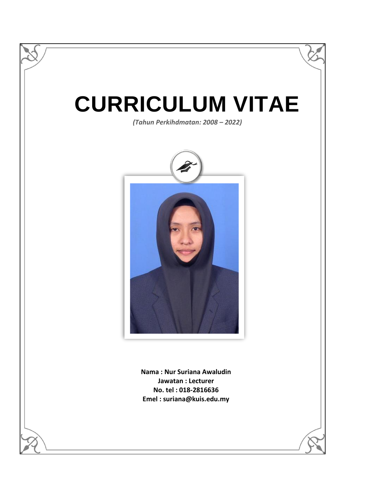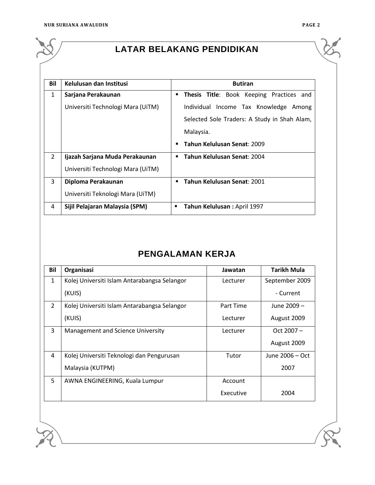

# **LATAR BELAKANG PENDIDIKAN**

| Bil            | Kelulusan dan Institusi           | <b>Butiran</b>                                |  |  |
|----------------|-----------------------------------|-----------------------------------------------|--|--|
| 1              | Sarjana Perakaunan                | Thesis Title: Book Keeping Practices and<br>٠ |  |  |
|                | Universiti Technologi Mara (UiTM) | Individual Income Tax Knowledge Among         |  |  |
|                |                                   | Selected Sole Traders: A Study in Shah Alam,  |  |  |
|                |                                   | Malaysia.                                     |  |  |
|                |                                   | Tahun Kelulusan Senat: 2009<br>п              |  |  |
| $\mathfrak{D}$ | Ijazah Sarjana Muda Perakaunan    | Tahun Kelulusan Senat: 2004<br>$\blacksquare$ |  |  |
|                | Universiti Technologi Mara (UiTM) |                                               |  |  |
| 3              | Diploma Perakaunan                | Tahun Kelulusan Senat: 2001<br>$\blacksquare$ |  |  |
|                | Universiti Teknologi Mara (UiTM)  |                                               |  |  |
| 4              | Sijil Pelajaran Malaysia (SPM)    | Tahun Kelulusan: April 1997<br>п              |  |  |

# **PENGALAMAN KERJA**

| Bil           | Organisasi                                   | Jawatan   | <b>Tarikh Mula</b> |
|---------------|----------------------------------------------|-----------|--------------------|
| $\mathbf{1}$  | Kolej Universiti Islam Antarabangsa Selangor | Lecturer  | September 2009     |
|               | (KUIS)                                       |           | - Current          |
| $\mathcal{P}$ | Kolej Universiti Islam Antarabangsa Selangor | Part Time | June 2009 -        |
|               | (KUIS)                                       | Lecturer  | August 2009        |
| 3             | Management and Science University            | Lecturer  | Oct $2007 -$       |
|               |                                              |           | August 2009        |
| 4             | Kolej Universiti Teknologi dan Pengurusan    | Tutor     | June 2006 - Oct    |
|               | Malaysia (KUTPM)                             |           | 2007               |
| 5             | AWNA ENGINEERING, Kuala Lumpur               | Account   |                    |
|               |                                              | Executive | 2004               |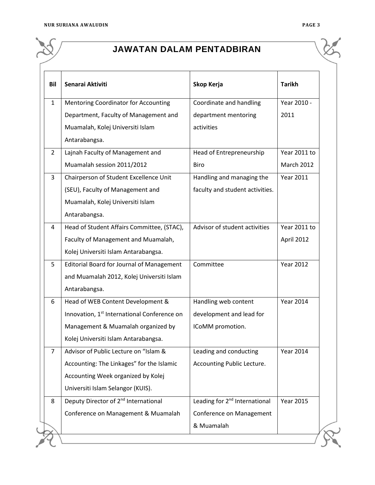

# **JAWATAN DALAM PENTADBIRAN**

| Bil                                  | Senarai Aktiviti                                        | Skop Kerja                                | <b>Tarikh</b>     |
|--------------------------------------|---------------------------------------------------------|-------------------------------------------|-------------------|
| $\mathbf{1}$                         | <b>Mentoring Coordinator for Accounting</b>             | Coordinate and handling                   | Year 2010 -       |
|                                      | Department, Faculty of Management and                   | department mentoring                      | 2011              |
|                                      | Muamalah, Kolej Universiti Islam                        | activities                                |                   |
|                                      | Antarabangsa.                                           |                                           |                   |
| $\overline{2}$                       | Lajnah Faculty of Management and                        | Head of Entrepreneurship                  | Year 2011 to      |
|                                      | Muamalah session 2011/2012                              | Biro                                      | <b>March 2012</b> |
| 3                                    | Chairperson of Student Excellence Unit                  | Handling and managing the                 | <b>Year 2011</b>  |
|                                      | (SEU), Faculty of Management and                        | faculty and student activities.           |                   |
|                                      | Muamalah, Kolej Universiti Islam                        |                                           |                   |
|                                      | Antarabangsa.                                           |                                           |                   |
| 4                                    | Head of Student Affairs Committee, (STAC),              | Advisor of student activities             | Year 2011 to      |
|                                      | Faculty of Management and Muamalah,                     |                                           | April 2012        |
| Kolej Universiti Islam Antarabangsa. |                                                         |                                           |                   |
| 5                                    | <b>Editorial Board for Journal of Management</b>        | Committee                                 | <b>Year 2012</b>  |
|                                      | and Muamalah 2012, Kolej Universiti Islam               |                                           |                   |
| Antarabangsa.                        |                                                         |                                           |                   |
| 6                                    | Head of WEB Content Development &                       | Handling web content                      | <b>Year 2014</b>  |
|                                      | Innovation, 1 <sup>st</sup> International Conference on | development and lead for                  |                   |
|                                      | Management & Muamalah organized by                      | ICoMM promotion.                          |                   |
|                                      | Kolej Universiti Islam Antarabangsa.                    |                                           |                   |
| 7                                    | Advisor of Public Lecture on "Islam &                   | Leading and conducting                    | <b>Year 2014</b>  |
|                                      | Accounting: The Linkages" for the Islamic               | Accounting Public Lecture.                |                   |
|                                      | Accounting Week organized by Kolej                      |                                           |                   |
|                                      | Universiti Islam Selangor (KUIS).                       |                                           |                   |
| 8                                    | Deputy Director of 2 <sup>nd</sup> International        | Leading for 2 <sup>nd</sup> International | <b>Year 2015</b>  |
|                                      | Conference on Management & Muamalah                     | Conference on Management                  |                   |
|                                      |                                                         | & Muamalah                                |                   |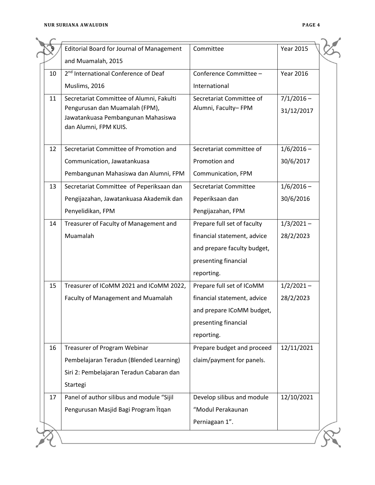|    | <b>Editorial Board for Journal of Management</b>                                              | Committee                   | <b>Year 2015</b> |
|----|-----------------------------------------------------------------------------------------------|-----------------------------|------------------|
|    | and Muamalah, 2015                                                                            |                             |                  |
| 10 | 2 <sup>nd</sup> International Conference of Deaf                                              | Conference Committee -      | <b>Year 2016</b> |
|    | Muslims, 2016                                                                                 | International               |                  |
| 11 | Secretariat Committee of Alumni, Fakulti                                                      | Secretariat Committee of    | $7/1/2016 -$     |
|    | Pengurusan dan Muamalah (FPM),<br>Jawatankuasa Pembangunan Mahasiswa<br>dan Alumni, FPM KUIS. | Alumni, Faculty-FPM         | 31/12/2017       |
| 12 | Secretariat Committee of Promotion and                                                        | Secretariat committee of    | $1/6/2016 -$     |
|    | Communication, Jawatankuasa                                                                   | Promotion and               | 30/6/2017        |
|    | Pembangunan Mahasiswa dan Alumni, FPM                                                         |                             |                  |
|    |                                                                                               | Communication, FPM          |                  |
| 13 | Secretariat Committee of Peperiksaan dan                                                      | Secretariat Committee       | $1/6/2016 -$     |
|    | Pengijazahan, Jawatankuasa Akademik dan                                                       | Peperiksaan dan             | 30/6/2016        |
|    | Penyelidikan, FPM                                                                             | Pengijazahan, FPM           |                  |
| 14 | Treasurer of Faculty of Management and                                                        | Prepare full set of faculty | $1/3/2021 -$     |
|    | Muamalah                                                                                      | financial statement, advice | 28/2/2023        |
|    |                                                                                               | and prepare faculty budget, |                  |
|    |                                                                                               | presenting financial        |                  |
|    |                                                                                               | reporting.                  |                  |
| 15 | Treasurer of ICoMM 2021 and ICoMM 2022,                                                       | Prepare full set of ICoMM   | $1/2/2021 -$     |
|    | Faculty of Management and Muamalah                                                            | financial statement, advice | 28/2/2023        |
|    |                                                                                               | and prepare ICoMM budget,   |                  |
|    |                                                                                               | presenting financial        |                  |
|    |                                                                                               | reporting.                  |                  |
| 16 | <b>Treasurer of Program Webinar</b>                                                           | Prepare budget and proceed  | 12/11/2021       |
|    | Pembelajaran Teradun (Blended Learning)                                                       | claim/payment for panels.   |                  |
|    | Siri 2: Pembelajaran Teradun Cabaran dan                                                      |                             |                  |
|    | Startegi                                                                                      |                             |                  |
| 17 | Panel of author silibus and module "Sijil                                                     | Develop silibus and module  | 12/10/2021       |
|    | Pengurusan Masjid Bagi Program İtqan                                                          | "Modul Perakaunan           |                  |
|    |                                                                                               | Perniagaan 1".              |                  |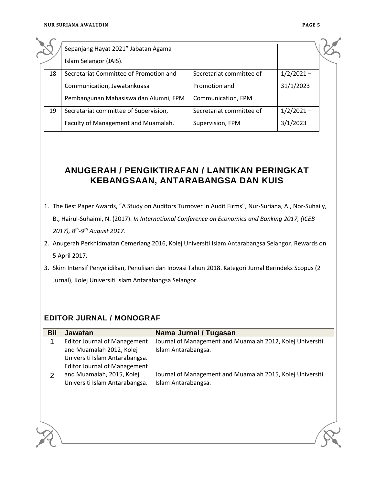|    | Sepanjang Hayat 2021" Jabatan Agama    |                          |              |  |
|----|----------------------------------------|--------------------------|--------------|--|
|    | Islam Selangor (JAIS).                 |                          |              |  |
| 18 | Secretariat Committee of Promotion and | Secretariat committee of | $1/2/2021 -$ |  |
|    | Communication, Jawatankuasa            | Promotion and            | 31/1/2023    |  |
|    | Pembangunan Mahasiswa dan Alumni, FPM  | Communication, FPM       |              |  |
| 19 | Secretariat committee of Supervision,  | Secretariat committee of | $1/2/2021 -$ |  |
|    | Faculty of Management and Muamalah.    | Supervision, FPM         | 3/1/2023     |  |

## **ANUGERAH / PENGIKTIRAFAN / LANTIKAN PERINGKAT KEBANGSAAN, ANTARABANGSA DAN KUIS**

- 1. The Best Paper Awards, "A Study on Auditors Turnover in Audit Firms", Nur-Suriana, A., Nor-Suhaily, B., Hairul-Suhaimi, N. (2017). *In International Conference on Economics and Banking 2017, (ICEB* 
	- *2017), 8th -9 th August 2017.*
- 2. Anugerah Perkhidmatan Cemerlang 2016, Kolej Universiti Islam Antarabangsa Selangor. Rewards on 5 April 2017.
- 3. Skim Intensif Penyelidikan, Penulisan dan Inovasi Tahun 2018. Kategori Jurnal Berindeks Scopus (2 Jurnal), Kolej Universiti Islam Antarabangsa Selangor.

### **EDITOR JURNAL / MONOGRAF**

| <b>Bil</b> | <b>Jawatan</b>                                             | Nama Jurnal / Tugasan                                     |
|------------|------------------------------------------------------------|-----------------------------------------------------------|
|            | <b>Editor Journal of Management</b>                        | Journal of Management and Muamalah 2012, Kolej Universiti |
|            | and Muamalah 2012, Kolej<br>Universiti Islam Antarabangsa. | Islam Antarabangsa.                                       |
|            | <b>Editor Journal of Management</b>                        |                                                           |
| 2          | and Muamalah, 2015, Kolej                                  | Journal of Management and Muamalah 2015, Kolej Universiti |
|            | Universiti Islam Antarabangsa.                             | Islam Antarabangsa.                                       |
|            |                                                            |                                                           |
|            |                                                            |                                                           |
|            |                                                            |                                                           |
|            |                                                            |                                                           |
|            |                                                            |                                                           |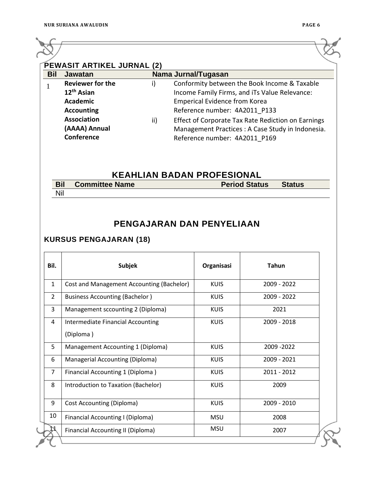$\overline{\phantom{a}}$ 

| <b>Bil</b> | <b>Jawatan</b>          |     | Nama Jurnal/Tugasan                                |
|------------|-------------------------|-----|----------------------------------------------------|
|            | <b>Reviewer for the</b> | i)  | Conformity between the Book Income & Taxable       |
|            | 12 <sup>th</sup> Asian  |     | Income Family Firms, and iTs Value Relevance:      |
|            | <b>Academic</b>         |     | <b>Emperical Evidence from Korea</b>               |
|            | <b>Accounting</b>       |     | Reference number: 4A2011 P133                      |
|            | <b>Association</b>      | ii) | Effect of Corporate Tax Rate Rediction on Earnings |
|            | (AAAA) Annual           |     | Management Practices : A Case Study in Indonesia.  |
|            | Conference              |     | Reference number: 4A2011 P169                      |

#### **KEAHLIAN BADAN PROFESIONAL**

| <b>Bil</b> | <b>Committee Name</b> | <b>Period Status</b> | Status |  |  |  |  |
|------------|-----------------------|----------------------|--------|--|--|--|--|
|            |                       |                      |        |  |  |  |  |

# **PENGAJARAN DAN PENYELIAAN**

#### **KURSUS PENGAJARAN (18)**

| Bil.           | <b>Subjek</b>                             | Organisasi  | <b>Tahun</b> |
|----------------|-------------------------------------------|-------------|--------------|
| $\mathbf{1}$   | Cost and Management Accounting (Bachelor) | <b>KUIS</b> | 2009 - 2022  |
| $\overline{2}$ | <b>Business Accounting (Bachelor)</b>     | <b>KUIS</b> | 2009 - 2022  |
| 3              | Management sccounting 2 (Diploma)         | <b>KUIS</b> | 2021         |
| 4              | <b>Intermediate Financial Accounting</b>  | <b>KUIS</b> | 2009 - 2018  |
|                | (Diploma)                                 |             |              |
| 5              | Management Accounting 1 (Diploma)         | <b>KUIS</b> | 2009 - 2022  |
| 6              | Managerial Accounting (Diploma)           | <b>KUIS</b> | 2009 - 2021  |
| $\overline{7}$ | Financial Accounting 1 (Diploma)          | <b>KUIS</b> | 2011 - 2012  |
| 8              | Introduction to Taxation (Bachelor)       | <b>KUIS</b> | 2009         |
| 9              | <b>Cost Accounting (Diploma)</b>          | <b>KUIS</b> | 2009 - 2010  |
| 10             | Financial Accounting I (Diploma)          | <b>MSU</b>  | 2008         |
|                | Financial Accounting II (Diploma)         | <b>MSU</b>  | 2007         |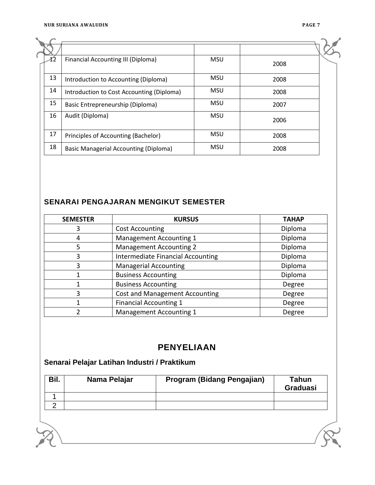| 12 | Financial Accounting III (Diploma)           | <b>MSU</b> | 2008 |  |
|----|----------------------------------------------|------------|------|--|
| 13 | Introduction to Accounting (Diploma)         | <b>MSU</b> | 2008 |  |
| 14 | Introduction to Cost Accounting (Diploma)    | <b>MSU</b> | 2008 |  |
| 15 | Basic Entrepreneurship (Diploma)             | <b>MSU</b> | 2007 |  |
| 16 | Audit (Diploma)                              | <b>MSU</b> | 2006 |  |
| 17 | Principles of Accounting (Bachelor)          | <b>MSU</b> | 2008 |  |
| 18 | <b>Basic Managerial Accounting (Diploma)</b> | <b>MSU</b> | 2008 |  |

## **SENARAI PENGAJARAN MENGIKUT SEMESTER**

| <b>SEMESTER</b> | <b>KURSUS</b>                     | <b>TAHAP</b> |
|-----------------|-----------------------------------|--------------|
|                 | <b>Cost Accounting</b>            | Diploma      |
| 4               | Management Accounting 1           | Diploma      |
| 5               | <b>Management Accounting 2</b>    | Diploma      |
| 3               | Intermediate Financial Accounting | Diploma      |
| 3               | <b>Managerial Accounting</b>      | Diploma      |
|                 | <b>Business Accounting</b>        | Diploma      |
|                 | <b>Business Accounting</b>        | Degree       |
| 3               | Cost and Management Accounting    | Degree       |
|                 | <b>Financial Accounting 1</b>     | Degree       |
|                 | Management Accounting 1           | Degree       |

## **PENYELIAAN**

# **Senarai Pelajar Latihan Industri / Praktikum**

| Bil. | Nama Pelajar | Program (Bidang Pengajian) | Tahun<br><b>Graduasi</b> |
|------|--------------|----------------------------|--------------------------|
|      |              |                            |                          |
|      |              |                            |                          |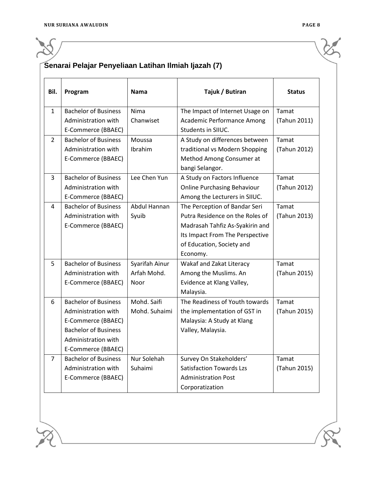# **Senarai Pelajar Penyeliaan Latihan Ilmiah Ijazah (7)**

| Bil.           | Program                     | <b>Nama</b>         | Tajuk / Butiran                    | <b>Status</b> |
|----------------|-----------------------------|---------------------|------------------------------------|---------------|
| $\mathbf{1}$   | <b>Bachelor of Business</b> | Nima                | The Impact of Internet Usage on    | Tamat         |
|                | Administration with         | Chanwiset           | Academic Performance Among         | (Tahun 2011)  |
|                | E-Commerce (BBAEC)          |                     | Students in SIIUC.                 |               |
| $\mathcal{L}$  | <b>Bachelor of Business</b> | Moussa              | A Study on differences between     | Tamat         |
|                | Administration with         | Ibrahim             | traditional vs Modern Shopping     | (Tahun 2012)  |
|                | E-Commerce (BBAEC)          |                     | Method Among Consumer at           |               |
|                |                             |                     | bangi Selangor.                    |               |
| 3              | <b>Bachelor of Business</b> | Lee Chen Yun        | A Study on Factors Influence       | Tamat         |
|                | Administration with         |                     | <b>Online Purchasing Behaviour</b> | (Tahun 2012)  |
|                | E-Commerce (BBAEC)          |                     | Among the Lecturers in SIIUC.      |               |
| 4              | <b>Bachelor of Business</b> | <b>Abdul Hannan</b> | The Perception of Bandar Seri      | Tamat         |
|                | Administration with         | Syuib               | Putra Residence on the Roles of    | (Tahun 2013)  |
|                | E-Commerce (BBAEC)          |                     | Madrasah Tahfiz As-Syakirin and    |               |
|                |                             |                     | Its Impact From The Perspective    |               |
|                |                             |                     | of Education, Society and          |               |
|                |                             |                     | Economy.                           |               |
| 5              | <b>Bachelor of Business</b> | Syarifah Ainur      | Wakaf and Zakat Literacy           | Tamat         |
|                | Administration with         | Arfah Mohd.         | Among the Muslims. An              | (Tahun 2015)  |
|                | E-Commerce (BBAEC)          | Noor                | Evidence at Klang Valley,          |               |
|                |                             |                     | Malaysia.                          |               |
| 6              | <b>Bachelor of Business</b> | Mohd. Saifi         | The Readiness of Youth towards     | Tamat         |
|                | Administration with         | Mohd. Suhaimi       | the implementation of GST in       | (Tahun 2015)  |
|                | E-Commerce (BBAEC)          |                     | Malaysia: A Study at Klang         |               |
|                | <b>Bachelor of Business</b> |                     | Valley, Malaysia.                  |               |
|                | Administration with         |                     |                                    |               |
|                | E-Commerce (BBAEC)          |                     |                                    |               |
| $\overline{7}$ | <b>Bachelor of Business</b> | Nur Solehah         | Survey On Stakeholders'            | Tamat         |
|                | Administration with         | Suhaimi             | <b>Satisfaction Towards Lzs</b>    | (Tahun 2015)  |
|                | E-Commerce (BBAEC)          |                     | <b>Administration Post</b>         |               |
|                |                             |                     | Corporatization                    |               |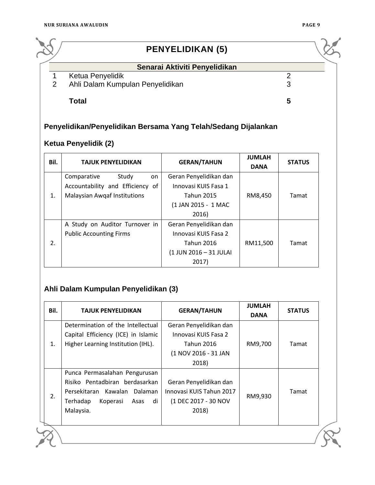

# **PENYELIDIKAN (5)**

#### **Senarai Aktiviti Penyelidikan**

#### 1 Ketua Penyelidik 2

#### 2 Ahli Dalam Kumpulan Penyelidikan 3

**Total 5**

## **Penyelidikan/Penyelidikan Bersama Yang Telah/Sedang Dijalankan**

#### **Ketua Penyelidik (2)**

| Bil. | <b>TAJUK PENYELIDIKAN</b>        | <b>GERAN/TAHUN</b>     | <b>JUMLAH</b><br><b>DANA</b> | <b>STATUS</b> |
|------|----------------------------------|------------------------|------------------------------|---------------|
|      | Study<br>Comparative<br>on       | Geran Penyelidikan dan |                              |               |
|      | Accountability and Efficiency of | Innovasi KUIS Fasa 1   |                              |               |
| 1.   | Malaysian Awqaf Institutions     | <b>Tahun 2015</b>      | RM8,450                      | Tamat         |
|      |                                  | (1 JAN 2015 - 1 MAC    |                              |               |
|      |                                  | 2016)                  |                              |               |
|      | A Study on Auditor Turnover in   | Geran Penyelidikan dan |                              |               |
|      | <b>Public Accounting Firms</b>   | Innovasi KUIS Fasa 2   |                              |               |
| 2.   |                                  | <b>Tahun 2016</b>      | RM11,500                     | Tamat         |
|      |                                  | (1 JUN 2016 - 31 JULAI |                              |               |
|      |                                  | 2017)                  |                              |               |

#### **Ahli Dalam Kumpulan Penyelidikan (3)**

| Bil. | TAJUK PENYELIDIKAN                                                                                                                                    | <b>GERAN/TAHUN</b>                                                                                   | <b>JUMLAH</b><br><b>DANA</b> | <b>STATUS</b> |
|------|-------------------------------------------------------------------------------------------------------------------------------------------------------|------------------------------------------------------------------------------------------------------|------------------------------|---------------|
| 1.   | Determination of the Intellectual<br>Capital Efficiency (ICE) in Islamic<br>Higher Learning Institution (IHL).                                        | Geran Penyelidikan dan<br>Innovasi KUIS Fasa 2<br><b>Tahun 2016</b><br>(1 NOV 2016 - 31 JAN<br>2018) | RM9,700                      | Tamat         |
| 2.   | Punca Permasalahan Pengurusan<br>Risiko Pentadbiran berdasarkan<br>Persekitaran Kawalan<br>Dalaman<br>di<br>Terhadap<br>Koperasi<br>Asas<br>Malaysia. | Geran Penyelidikan dan<br>Innovasi KUIS Tahun 2017<br>(1 DEC 2017 - 30 NOV<br>2018)                  | RM9,930                      | Tamat         |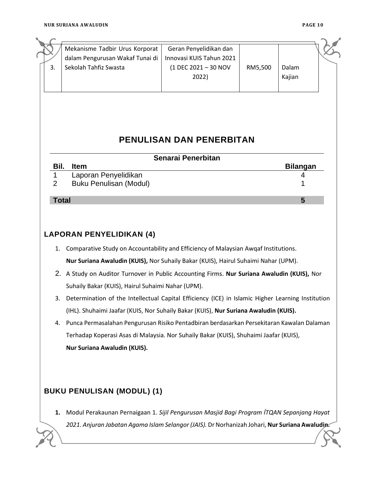| 3.                  | Mekanisme Tadbir Urus Korporat<br>dalam Pengurusan Wakaf Tunai di<br>Sekolah Tahfiz Swasta                                                                                                                                                                                                                                                                                                                                                                                                                                          | Geran Penyelidikan dan<br>Innovasi KUIS Tahun 2021<br>(1 DEC 2021 - 30 NOV<br>2022) | RM5,500 | Dalam<br>Kajian |
|---------------------|-------------------------------------------------------------------------------------------------------------------------------------------------------------------------------------------------------------------------------------------------------------------------------------------------------------------------------------------------------------------------------------------------------------------------------------------------------------------------------------------------------------------------------------|-------------------------------------------------------------------------------------|---------|-----------------|
|                     |                                                                                                                                                                                                                                                                                                                                                                                                                                                                                                                                     | <b>PENULISAN DAN PENERBITAN</b>                                                     |         |                 |
|                     |                                                                                                                                                                                                                                                                                                                                                                                                                                                                                                                                     | Senarai Penerbitan                                                                  |         |                 |
| Bil.                | <b>Item</b>                                                                                                                                                                                                                                                                                                                                                                                                                                                                                                                         |                                                                                     |         | <b>Bilangan</b> |
| 1<br>$\overline{2}$ | Laporan Penyelidikan<br><b>Buku Penulisan (Modul)</b>                                                                                                                                                                                                                                                                                                                                                                                                                                                                               |                                                                                     |         | 4               |
| <b>Total</b>        |                                                                                                                                                                                                                                                                                                                                                                                                                                                                                                                                     |                                                                                     |         | 5               |
|                     | <b>LAPORAN PENYELIDIKAN (4)</b><br>1. Comparative Study on Accountability and Efficiency of Malaysian Awqaf Institutions.<br>Nur Suriana Awaludin (KUIS), Nor Suhaily Bakar (KUIS), Hairul Suhaimi Nahar (UPM).                                                                                                                                                                                                                                                                                                                     |                                                                                     |         |                 |
| 3.<br>4.            | 2. A Study on Auditor Turnover in Public Accounting Firms. Nur Suriana Awaludin (KUIS), Nor<br>Suhaily Bakar (KUIS), Hairul Suhaimi Nahar (UPM).<br>Determination of the Intellectual Capital Efficiency (ICE) in Islamic Higher Learning Institution<br>(IHL). Shuhaimi Jaafar (KUIS, Nor Suhaily Bakar (KUIS), Nur Suriana Awaludin (KUIS).<br>Punca Permasalahan Pengurusan Risiko Pentadbiran berdasarkan Persekitaran Kawalan Dalaman<br>Terhadap Koperasi Asas di Malaysia. Nor Suhaily Bakar (KUIS), Shuhaimi Jaafar (KUIS), |                                                                                     |         |                 |
|                     | Nur Suriana Awaludin (KUIS).                                                                                                                                                                                                                                                                                                                                                                                                                                                                                                        |                                                                                     |         |                 |
|                     | <b>BUKU PENULISAN (MODUL) (1)</b>                                                                                                                                                                                                                                                                                                                                                                                                                                                                                                   |                                                                                     |         |                 |
| 1.                  | Modul Perakaunan Pernaigaan 1. Sijil Pengurusan Masjid Bagi Program ITQAN Sepanjang Hayat<br>2021. Anjuran Jabatan Agama Islam Selangor (JAIS). Dr Norhanizah Johari, Nur Suriana Awaludin.                                                                                                                                                                                                                                                                                                                                         |                                                                                     |         |                 |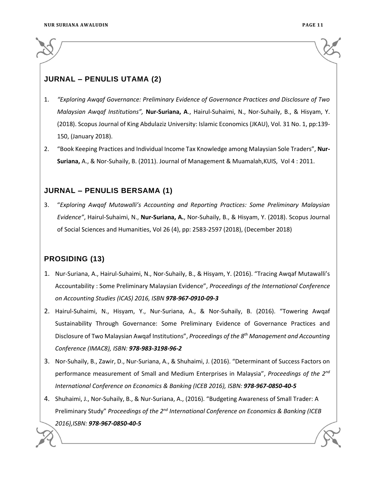#### **JURNAL – PENULIS UTAMA (2)**

- 1. *"Exploring Awqaf Governance: Preliminary Evidence of Governance Practices and Disclosure of Two Malaysian Awqaf Institutions",* **Nur-Suriana, A**., Hairul-Suhaimi, N., Nor-Suhaily, B., & Hisyam, Y. (2018). Scopus Journal of King Abdulaziz University: Islamic Economics (JKAU), Vol. 31 No. 1, pp:139- 150, (January 2018).
- 2. "Book Keeping Practices and Individual Income Tax Knowledge among Malaysian Sole Traders", **Nur-Suriana,** A., & Nor-Suhaily, B. (2011). Journal of Management & Muamalah,KUIS, Vol 4 : 2011.

#### **JURNAL – PENULIS BERSAMA (1)**

3. "*Exploring Awqaf Mutawalli's Accounting and Reporting Practices: Some Preliminary Malaysian Evidence"*, Hairul-Suhaimi, N., **Nur-Suriana, A.**, Nor-Suhaily, B., & Hisyam, Y. (2018). Scopus Journal of Social Sciences and Humanities, Vol 26 (4), pp: 2583-2597 (2018), (December 2018)

#### **PROSIDING (13)**

- 1. Nur-Suriana, A., Hairul-Suhaimi, N., Nor-Suhaily, B., & Hisyam, Y. (2016). "Tracing Awqaf Mutawalli's Accountability : Some Preliminary Malaysian Evidence", *Proceedings of the International Conference on Accounting Studies (ICAS) 2016, ISBN 978-967-0910-09-3*
- 2. Hairul-Suhaimi, N., Hisyam, Y., Nur-Suriana, A., & Nor-Suhaily, B. (2016). "Towering Awqaf Sustainability Through Governance: Some Preliminary Evidence of Governance Practices and Disclosure of Two Malaysian Awqaf Institutions", *Proceedings of the 8th Management and Accounting Conference (IMAC8), ISBN: 978-983-3198-96-2*
- 3. Nor-Suhaily, B., Zawir, D., Nur-Suriana, A., & Shuhaimi, J. (2016). "Determinant of Success Factors on performance measurement of Small and Medium Enterprises in Malaysia", *Proceedings of the 2nd International Conference on Economics & Banking (ICEB 2016), ISBN: 978-967-0850-40-5*
- 4. Shuhaimi, J., Nor-Suhaily, B., & Nur-Suriana, A., (2016). "Budgeting Awareness of Small Trader: A Preliminary Study" *Proceedings of the 2nd International Conference on Economics & Banking (ICEB 2016),ISBN: 978-967-0850-40-5*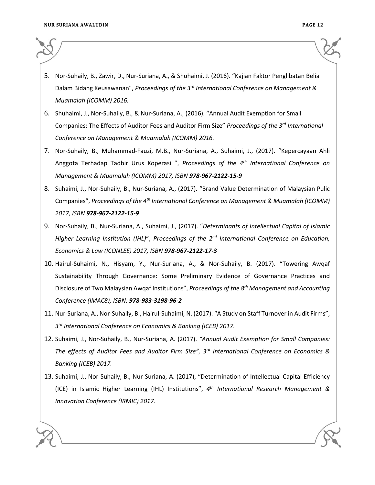- 
- 5. Nor-Suhaily, B., Zawir, D., Nur-Suriana, A., & Shuhaimi, J. (2016). "Kajian Faktor Penglibatan Belia Dalam Bidang Keusawanan", *Proceedings of the 3rd International Conference on Management & Muamalah (ICOMM) 2016.*
- 6. Shuhaimi, J., Nor-Suhaily, B., & Nur-Suriana, A., (2016). "Annual Audit Exemption for Small Companies: The Effects of Auditor Fees and Auditor Firm Size" *Proceedings of the 3rd International Conference on Management & Muamalah (ICOMM) 2016.*
- 7. Nor-Suhaily, B., Muhammad-Fauzi, M.B., Nur-Suriana, A., Suhaimi, J., (2017). "Kepercayaan Ahli Anggota Terhadap Tadbir Urus Koperasi ", *Proceedings of the 4th International Conference on Management & Muamalah (ICOMM) 2017, ISBN 978-967-2122-15-9*
- 8. Suhaimi, J., Nor-Suhaily, B., Nur-Suriana, A., (2017). "Brand Value Determination of Malaysian Pulic Companies", *Proceedings of the 4th International Conference on Management & Muamalah (ICOMM) 2017, ISBN 978-967-2122-15-9*
- 9. Nor-Suhaily, B., Nur-Suriana, A., Suhaimi, J., (2017). "*Determinants of Intellectual Capital of Islamic Higher Learning Institution (IHL)*", *Proceedings of the 2nd International Conference on Education, Economics & Law (ICONLEE) 2017, ISBN 978-967-2122-17-3*
- 10. Hairul-Suhaimi, N., Hisyam, Y., Nur-Suriana, A., & Nor-Suhaily, B. (2017). "Towering Awqaf Sustainability Through Governance: Some Preliminary Evidence of Governance Practices and Disclosure of Two Malaysian Awqaf Institutions", *Proceedings of the 8th Management and Accounting Conference (IMAC8), ISBN: 978-983-3198-96-2*
- 11. Nur-Suriana, A., Nor-Suhaily, B., Hairul-Suhaimi, N. (2017). "A Study on Staff Turnover in Audit Firms", *3 rd International Conference on Economics & Banking (ICEB) 2017.*
- 12. Suhaimi, J., Nor-Suhaily, B., Nur-Suriana, A. (2017). *"Annual Audit Exemption for Small Companies: The effects of Auditor Fees and Auditor Firm Size", 3 rd International Conference on Economics & Banking (ICEB) 2017.*
- 13. Suhaimi, J., Nor-Suhaily, B., Nur-Suriana, A. (2017), "Determination of Intellectual Capital Efficiency (ICE) in Islamic Higher Learning (IHL) Institutions", *4 th International Research Management & Innovation Conference (IRMIC) 2017.*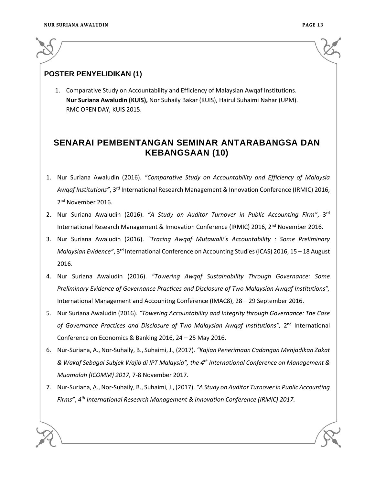

#### **POSTER PENYELIDIKAN (1)**

1. Comparative Study on Accountability and Efficiency of Malaysian Awqaf Institutions. **Nur Suriana Awaludin (KUIS),** Nor Suhaily Bakar (KUIS), Hairul Suhaimi Nahar (UPM). RMC OPEN DAY, KUIS 2015.

## **SENARAI PEMBENTANGAN SEMINAR ANTARABANGSA DAN KEBANGSAAN (10)**

- 1. Nur Suriana Awaludin (2016). *"Comparative Study on Accountability and Efficiency of Malaysia Awqaf Institutions"*, 3rd International Research Management & Innovation Conference (IRMIC) 2016, 2<sup>nd</sup> November 2016.
- 2. Nur Suriana Awaludin (2016). *"A Study on Auditor Turnover in Public Accounting Firm"*, 3rd International Research Management & Innovation Conference (IRMIC) 2016, 2<sup>nd</sup> November 2016.
- 3. Nur Suriana Awaludin (2016). *"Tracing Awqaf Mutawalli's Accountability : Some Preliminary Malaysian Evidence"*, 3<sup>rd</sup> International Conference on Accounting Studies (ICAS) 2016, 15 - 18 August 2016.
- 4. Nur Suriana Awaludin (2016). *"Towering Awqaf Sustainability Through Governance: Some Preliminary Evidence of Governance Practices and Disclosure of Two Malaysian Awqaf Institutions",* International Management and Accounitng Conference (IMAC8), 28 – 29 September 2016.
- 5. Nur Suriana Awaludin (2016). *"Towering Accountability and Integrity through Governance: The Case*  of Governance Practices and Disclosure of Two Malaysian Awqaf Institutions", 2<sup>nd</sup> International Conference on Economics & Banking 2016, 24 – 25 May 2016.
- 6. Nur-Suriana, A., Nor-Suhaily, B., Suhaimi, J., (2017). *"Kajian Penerimaan Cadangan Menjadikan Zakat & Wakaf Sebagai Subjek Wajib di IPT Malaysia", the 4th International Conference on Management & Muamalah (ICOMM) 2017,* 7-8 November 2017.
- 7. Nur-Suriana, A., Nor-Suhaily, B., Suhaimi, J., (2017). *"A Study on Auditor Turnover in Public Accounting Firms"*, *4 th International Research Management & Innovation Conference (IRMIC) 2017.*